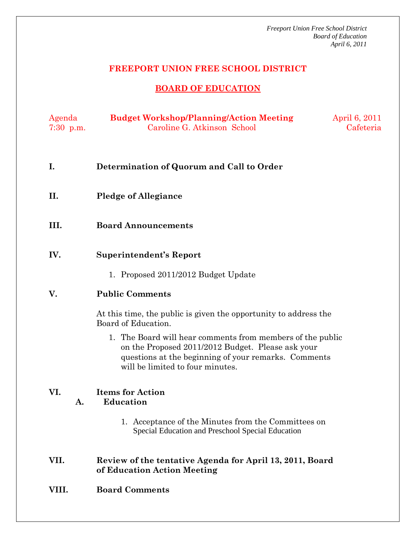*Freeport Union Free School District Board of Education April 6, 2011* 

## **FREEPORT UNION FREE SCHOOL DISTRICT**

# **BOARD OF EDUCATION**

| Agenda      | <b>Budget Workshop/Planning/Action Meeting</b> | April 6, 2011 |
|-------------|------------------------------------------------|---------------|
| $7:30$ p.m. | Caroline G. Atkinson School                    | Cafeteria     |

- **I. Determination of Quorum and Call to Order**
- **II. Pledge of Allegiance**
- **III. Board Announcements**
- **IV. Superintendent's Report** 
	- 1. Proposed 2011/2012 Budget Update

#### **V. Public Comments**

At this time, the public is given the opportunity to address the Board of Education.

1. The Board will hear comments from members of the public on the Proposed 2011/2012 Budget. Please ask your questions at the beginning of your remarks. Comments will be limited to four minutes.

#### **VI. Items for Action A. Education**

1. Acceptance of the Minutes from the Committees on Special Education and Preschool Special Education

### **VII. Review of the tentative Agenda for April 13, 2011, Board of Education Action Meeting**

**VIII. Board Comments**